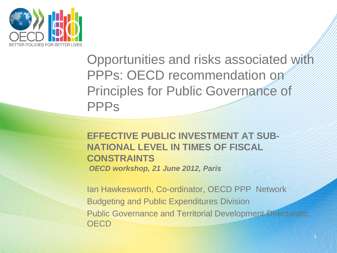

Opportunities and risks associated with PPPs: OECD recommendation on Principles for Public Governance of **PPPs** 

**EFFECTIVE PUBLIC INVESTMENT AT SHIPE NATIONAL LEVEL IN TIMES OF FISCAL CONSTRAINTS**  *OECD workshop, 21 June 2012, Paris* 

Ian Hawkesworth, Co-ordinator, OECD PPP Network Budgeting and Public Expenditures Division Public Governance and Territorial Development Directorate, OECD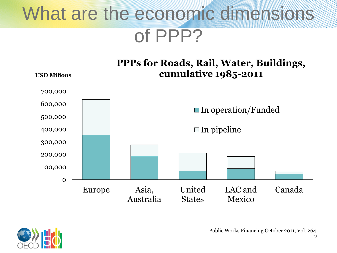### What are the economic dimensions of PPP?





Public Works Financing October 2011, Vol. 264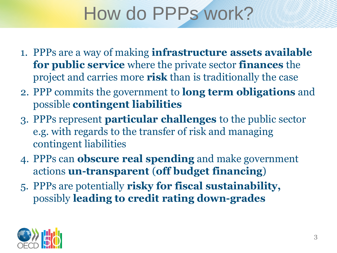# How do PPPs work?

- 1. PPPs are a way of making **infrastructure assets available for public service** where the private sector **finances** the project and carries more **risk** than is traditionally the case
- 2. PPP commits the government to **long term obligations** and possible **contingent liabilities**
- 3. PPPs represent **particular challenges** to the public sector e.g. with regards to the transfer of risk and managing contingent liabilities
- 4. PPPs can **obscure real spending** and make government actions **un-transparent** (**off budget financing**)
- 5. PPPs are potentially **risky for fiscal sustainability,**  possibly **leading to credit rating down-grades**

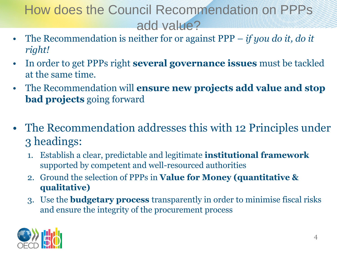#### How does the Council Recommendation on PPPs add value?

- The Recommendation is neither for or against PPP *if you do it, do it right!*
- In order to get PPPs right **several governance issues** must be tackled at the same time.
- The Recommendation will **ensure new projects add value and stop bad projects** going forward
- The Recommendation addresses this with 12 Principles under 3 headings:
	- 1. Establish a clear, predictable and legitimate **institutional framework**  supported by competent and well-resourced authorities
	- 2. Ground the selection of PPPs in **Value for Money (quantitative & qualitative)**
	- 3. Use the **budgetary process** transparently in order to minimise fiscal risks and ensure the integrity of the procurement process

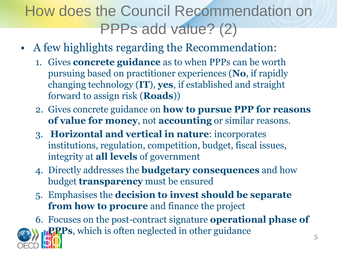### How does the Council Recommendation on PPPs add value? (2)

- A few highlights regarding the Recommendation:
	- 1. Gives **concrete guidance** as to when PPPs can be worth pursuing based on practitioner experiences (**No**, if rapidly changing technology (**IT**), **yes**, if established and straight forward to assign risk (**Roads**))
	- 2. Gives concrete guidance on **how to pursue PPP for reasons of value for money**, not **accounting** or similar reasons.
	- 3. **Horizontal and vertical in nature**: incorporates institutions, regulation, competition, budget, fiscal issues, integrity at **all levels** of government
	- 4. Directly addresses the **budgetary consequences** and how budget **transparency** must be ensured
	- 5. Emphasises the **decision to invest should be separate from how to procure** and finance the project

6. Focuses on the post-contract signature **operational phase of PPPs**, which is often neglected in other guidance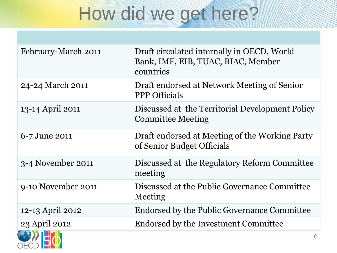# How did we get here?

| February-March 2011 | Draft circulated internally in OECD, World<br>Bank, IMF, EIB, TUAC, BIAC, Member<br>countries |
|---------------------|-----------------------------------------------------------------------------------------------|
| 24-24 March 2011    | Draft endorsed at Network Meeting of Senior<br><b>PPP</b> Officials                           |
| 13-14 April 2011    | Discussed at the Territorial Development Policy<br><b>Committee Meeting</b>                   |
| 6-7 June 2011       | Draft endorsed at Meeting of the Working Party<br>of Senior Budget Officials                  |
| 3-4 November 2011   | Discussed at the Regulatory Reform Committee<br>meeting                                       |
| 9-10 November 2011  | Discussed at the Public Governance Committee<br>Meeting                                       |
| 12-13 April 2012    | Endorsed by the Public Governance Committee                                                   |
| 23 April 2012       | Endorsed by the Investment Committee                                                          |
|                     | 6                                                                                             |